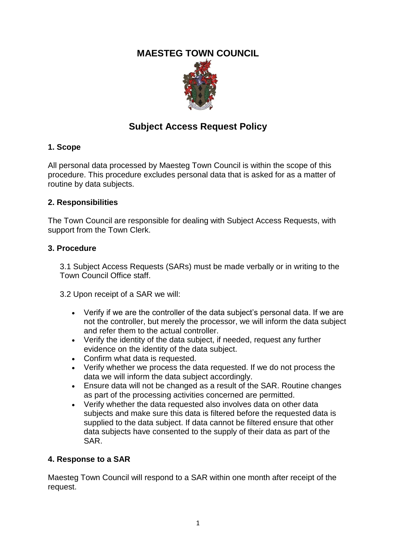## **MAESTEG TOWN COUNCIL**



# **Subject Access Request Policy**

### **1. Scope**

All personal data processed by Maesteg Town Council is within the scope of this procedure. This procedure excludes personal data that is asked for as a matter of routine by data subjects.

#### **2. Responsibilities**

The Town Council are responsible for dealing with Subject Access Requests, with support from the Town Clerk.

#### **3. Procedure**

3.1 Subject Access Requests (SARs) must be made verbally or in writing to the Town Council Office staff.

3.2 Upon receipt of a SAR we will:

- Verify if we are the controller of the data subject's personal data. If we are not the controller, but merely the processor, we will inform the data subject and refer them to the actual controller.
- Verify the identity of the data subject, if needed, request any further evidence on the identity of the data subject.
- Confirm what data is requested.
- Verify whether we process the data requested. If we do not process the data we will inform the data subject accordingly.
- Ensure data will not be changed as a result of the SAR. Routine changes as part of the processing activities concerned are permitted.
- Verify whether the data requested also involves data on other data subjects and make sure this data is filtered before the requested data is supplied to the data subject. If data cannot be filtered ensure that other data subjects have consented to the supply of their data as part of the SAR.

## **4. Response to a SAR**

Maesteg Town Council will respond to a SAR within one month after receipt of the request.